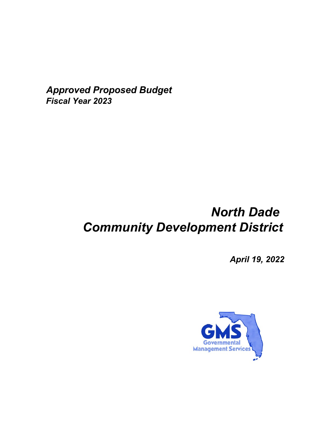*Approved Proposed Budget Fiscal Year 2023*

# *North Dade Community Development District*

*April 19, 2022*

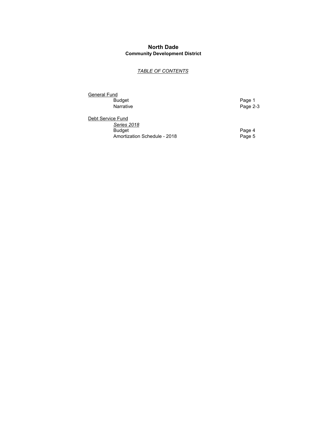### **North Dade Community Development District**

### *TABLE OF CONTENTS*

General Fund Budget Page 1

Page 2-3

Debt Service Fund *Series 2018* Budget Page 4 <u>Concolative</u><br>
Budget<br>
Amortization Schedule - 2018<br>
Page 5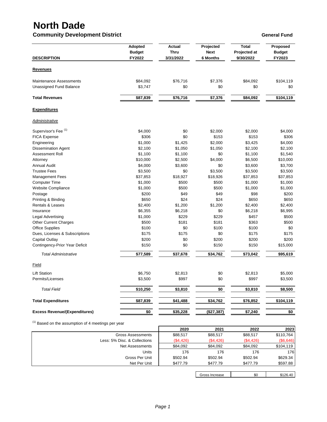## **North Dade**

### **Community Development District General Fund**

|                                                           | <b>Adopted</b>          | Actual<br>Thru  | Projected<br><b>Next</b> | <b>Total</b>              | Proposed                |
|-----------------------------------------------------------|-------------------------|-----------------|--------------------------|---------------------------|-------------------------|
| <b>DESCRIPTION</b>                                        | <b>Budget</b><br>FY2022 | 3/31/2022       | <b>6 Months</b>          | Projected at<br>9/30/2022 | <b>Budget</b><br>FY2023 |
| <b>Revenues</b>                                           |                         |                 |                          |                           |                         |
| <b>Maintenance Assessments</b><br>Unassigned Fund Balance | \$84,092<br>\$3,747     | \$76,716<br>\$0 | \$7,376<br>\$0           | \$84,092<br>\$0           | \$104,119<br>\$0        |
|                                                           |                         |                 |                          |                           |                         |
| <b>Total Revenues</b>                                     | \$87,839                | \$76,716        | \$7,376                  | \$84,092                  | \$104,119               |
| <b>Expenditures</b>                                       |                         |                 |                          |                           |                         |
| Administrative                                            |                         |                 |                          |                           |                         |
| Supervisor's Fee <sup>(1)</sup>                           | \$4,000                 | \$0             | \$2,000                  | \$2,000                   | \$4,000                 |
| <b>FICA Expense</b>                                       | \$306                   | \$0             | \$153                    | \$153                     | \$306                   |
| Engineering                                               | \$1,000                 | \$1,425         | \$2,000                  | \$3,425                   | \$4,000                 |
| <b>Dissemination Agent</b>                                | \$2,100                 | \$1,050         | \$1,050                  | \$2,100                   | \$2,100                 |
| <b>Assessment Roll</b>                                    | \$1,100                 | \$1,100         | \$0                      | \$1,100                   | \$1,540                 |
| Attorney                                                  | \$10,000                | \$2,500         | \$4,000                  | \$6,500                   | \$10,000                |
| <b>Annual Audit</b>                                       | \$4,000                 | \$3,600         | \$0                      | \$3,600                   | \$3,700                 |
| <b>Trustee Fees</b>                                       | \$3,500                 | \$0             | \$3,500                  | \$3,500                   | \$3,500                 |
| <b>Management Fees</b>                                    | \$37,853                | \$18,927        | \$18,926                 | \$37,853                  | \$37,853                |
| <b>Computer Time</b>                                      | \$1,000                 | \$500           | \$500                    | \$1,000                   | \$1,000                 |
| Website Compliance                                        | \$1,000                 | \$500           | \$500                    | \$1,000                   | \$1,000                 |
| Postage                                                   | \$200                   | \$49            | \$49                     | \$98                      | \$200                   |
| Printing & Binding                                        | \$650                   | \$24            | \$24                     | \$650                     | \$650                   |
| <b>Rentals &amp; Leases</b>                               | \$2,400                 | \$1,200         | \$1,200                  | \$2,400                   | \$2,400                 |
| Insurance                                                 | \$6,355                 | \$6,218         | \$0                      | \$6,218                   | \$6,995                 |
| Legal Advertising                                         | \$1,000                 | \$229           | \$229                    | \$457                     | \$500                   |
| <b>Other Current Charges</b>                              | \$500                   | \$181           | \$181                    | \$363                     | \$500                   |
| <b>Office Supplies</b>                                    | \$100                   | \$0             | \$100                    | \$100                     | \$0                     |
| Dues, Licenses & Subscriptions                            | \$175                   | \$175           | \$0                      | \$175                     | \$175                   |
| <b>Capital Outlay</b>                                     | \$200                   | \$0             | \$200                    | \$200                     | \$200                   |
| Contingency-Prior Year Deficit                            | \$150                   | \$0             | \$150                    | \$150                     | \$15,000                |
| <b>Total Administrative</b>                               | \$77,589                | \$37,678        | \$34,762                 | \$73,042                  | \$95,619                |
| Field                                                     |                         |                 |                          |                           |                         |
| <b>Lift Station</b>                                       | \$6,750                 | \$2,813         | \$0                      | \$2,813                   | \$5,000                 |
| Permits/Licenses                                          | \$3,500                 | \$997           | \$0                      | \$997                     | \$3,500                 |
| <b>Total Field</b>                                        | \$10,250                | \$3,810         | \$0                      | \$3,810                   | \$8,500                 |
| <b>Total Expenditures</b>                                 | \$87,839                | \$41,488        | \$34,762                 | \$76,852                  | \$104,119               |
| <b>Excess Revenue/(Expenditures)</b>                      | \$0                     | \$35,228        | (\$27,387)               | \$7,240                   | \$0                     |

 $(1)$  Based on the assumption of 4 meetings per year

|                              | 2020      | 2021      | 2022      | 2023      |
|------------------------------|-----------|-----------|-----------|-----------|
| Gross Assessments            | \$88,517  | \$88,517  | \$88,517  | \$110,764 |
| Less: 5% Disc. & Collections | (\$4,426) | (\$4,426) | (\$4,426) | (\$6,646) |
| Net Assessments              | \$84.092  | \$84.092  | \$84,092  | \$104,119 |
| Units                        | 176       | 176       | 176       | 176       |
| Gross Per Unit               | \$502.94  | \$502.94  | \$502.94  | \$629.34  |
| Net Per Unit                 | \$477.79  | \$477.79  | \$477.79  | \$597.88  |
|                              |           |           |           |           |

Gross Increase \$0 \$126.40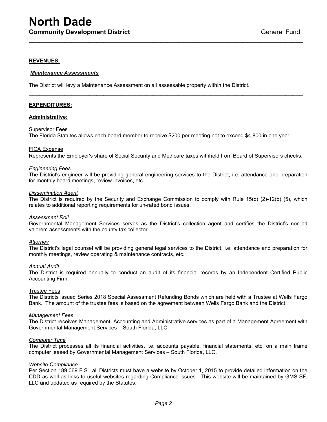### **REVENUES:**

#### *Maintenance Assessments*

The District will levy a Maintenance Assessment on all assessable property within the District.

#### **EXPENDITURES:**

#### **Administrative:**

#### Supervisor Fees

The Florida Statutes allows each board member to receive \$200 per meeting not to exceed \$4,800 in one year.

#### FICA Expense

Represents the Employer's share of Social Security and Medicare taxes withheld from Board of Supervisors checks.

\_\_\_\_\_\_\_\_\_\_\_\_\_\_\_\_\_\_\_\_\_\_\_\_\_\_\_\_\_\_\_\_\_\_\_\_\_\_\_\_\_\_\_\_\_\_\_\_\_\_\_\_\_\_\_\_\_\_\_\_\_\_\_\_\_\_\_\_\_\_\_\_\_\_\_\_\_

\_\_\_\_\_\_\_\_\_\_\_\_\_\_\_\_\_\_\_\_\_\_\_\_\_\_\_\_\_\_\_\_\_\_\_\_\_\_\_\_\_\_\_\_\_\_\_\_\_\_\_\_\_\_\_\_\_\_\_\_\_\_\_\_\_\_\_\_\_\_\_\_\_\_\_\_\_

#### *Engineering Fees*

The District's engineer will be providing general engineering services to the District, i.e. attendance and preparation for monthly board meetings, review invoices, etc.

#### *Dissemination Agent*

The District is required by the Security and Exchange Commission to comply with Rule 15(c) (2)-12(b) (5), which relates to additional reporting requirements for un-rated bond issues.

#### *Assessment Roll*

Governmental Management Services serves as the District's collection agent and certifies the District's non-ad valorem assessments with the county tax collector.

#### *Attorney*

The District's legal counsel will be providing general legal services to the District, i.e. attendance and preparation for monthly meetings, review operating & maintenance contracts, etc.

#### *Annual Audit*

The District is required annually to conduct an audit of its financial records by an Independent Certified Public Accounting Firm.

#### Trustee Fees

The Districts issued Series 2018 Special Assessment Refunding Bonds which are held with a Trustee at Wells Fargo Bank. The amount of the trustee fees is based on the agreement between Wells Fargo Bank and the District.

#### *Management Fees*

The District receives Management, Accounting and Administrative services as part of a Management Agreement with Governmental Management Services – South Florida, LLC.

#### *Computer Time*

The District processes all its financial activities, i.e. accounts payable, financial statements, etc. on a main frame computer leased by Governmental Management Services – South Florida, LLC.

#### *Website Compliance*

Per Section 189.069 F.S., all Districts must have a website by October 1, 2015 to provide detailed information on the CDD as well as links to useful websites regarding Compliance issues. This website will be maintained by GMS-SF, LLC and updated as required by the Statutes.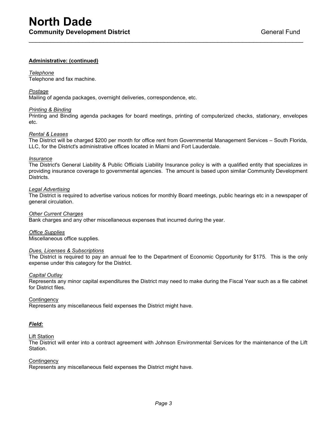### **Administrative: (continued)**

#### *Telephone*

Telephone and fax machine.

#### *Postage*

Mailing of agenda packages, overnight deliveries, correspondence, etc.

#### *Printing & Binding*

Printing and Binding agenda packages for board meetings, printing of computerized checks, stationary, envelopes etc.

\_\_\_\_\_\_\_\_\_\_\_\_\_\_\_\_\_\_\_\_\_\_\_\_\_\_\_\_\_\_\_\_\_\_\_\_\_\_\_\_\_\_\_\_\_\_\_\_\_\_\_\_\_\_\_\_\_\_\_\_\_\_\_\_\_\_\_\_\_\_\_\_\_\_\_\_\_

#### *Rental & Leases*

The District will be charged \$200 per month for office rent from Governmental Management Services – South Florida, LLC, for the District's administrative offices located in Miami and Fort Lauderdale.

#### *Insurance*

The District's General Liability & Public Officials Liability Insurance policy is with a qualified entity that specializes in providing insurance coverage to governmental agencies. The amount is based upon similar Community Development Districts.

#### *Legal Advertising*

The District is required to advertise various notices for monthly Board meetings, public hearings etc in a newspaper of general circulation.

#### *Other Current Charges*

Bank charges and any other miscellaneous expenses that incurred during the year.

*Office Supplies* Miscellaneous office supplies.

#### *Dues, Licenses & Subscriptions*

The District is required to pay an annual fee to the Department of Economic Opportunity for \$175. This is the only expense under this category for the District.

#### *Capital Outlay*

Represents any minor capital expenditures the District may need to make during the Fiscal Year such as a file cabinet for District files.

#### **Contingency**

Represents any miscellaneous field expenses the District might have.

#### *Field:*

#### **Lift Station**

The District will enter into a contract agreement with Johnson Environmental Services for the maintenance of the Lift Station.

#### **Contingency**

Represents any miscellaneous field expenses the District might have.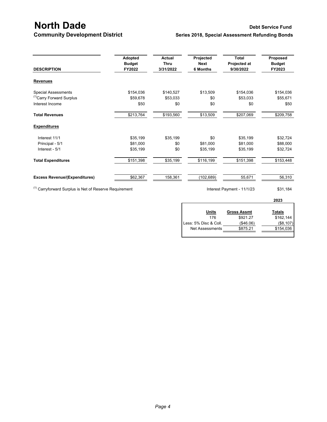## **North Dade** Debt Service Fund<br> **Community Development District** Series 2018, Special Assessment Refunding Bonds **Series 2018, Special Assessment Refunding Bonds**

| <b>DESCRIPTION</b>                   | Adopted<br><b>Budget</b><br>FY2022 | <b>Actual</b><br><b>Thru</b><br>3/31/2022 | Projected<br><b>Next</b><br>6 Months | Total<br>Projected at<br>9/30/2022 | Proposed<br><b>Budget</b><br>FY2023 |
|--------------------------------------|------------------------------------|-------------------------------------------|--------------------------------------|------------------------------------|-------------------------------------|
| <b>Revenues</b>                      |                                    |                                           |                                      |                                    |                                     |
| <b>Special Assessments</b>           | \$154,036                          | \$140,527                                 | \$13,509                             | \$154,036                          | \$154,036                           |
| <sup>(1)</sup> Carry Forward Surplus | \$59,678                           | \$53,033                                  | \$0                                  | \$53,033                           | \$55,671                            |
| Interest Income                      | \$50                               | \$0                                       | \$0                                  | \$0                                | \$50                                |
| <b>Total Revenues</b>                | \$213,764                          | \$193,560                                 | \$13,509                             | \$207,069                          | \$209,758                           |
| <b>Expenditures</b>                  |                                    |                                           |                                      |                                    |                                     |
| Interest 11/1                        | \$35,199                           | \$35,199                                  | \$0                                  | \$35,199                           | \$32,724                            |
| Principal - 5/1                      | \$81,000                           | \$0                                       | \$81,000                             | \$81,000                           | \$88,000                            |
| Interest - 5/1                       | \$35,199                           | \$0                                       | \$35,199                             | \$35,199                           | \$32,724                            |
| <b>Total Expenditures</b>            | \$151,398                          | \$35,199                                  | \$116,199                            | \$151,398                          | \$153,448                           |
| <b>Excess Revenue/(Expenditures)</b> | \$62,367                           | 158,361                                   | (102,689)                            | 55,671                             | 56,310                              |

 $(1)$  Carryforward Surplus is Net of Reserve Requirement Interest Payment - 11/1/23  $$31,184$ 

| <b>Gross Assmt</b> | Totals    |
|--------------------|-----------|
| \$921.27           | \$162,144 |
| ( \$46.06)         | (\$8,107) |
| \$875.21           | \$154,036 |
|                    |           |